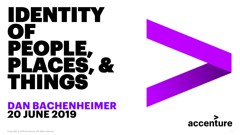# IDENTITY O PEOPLE, PLACES, & THINGS

## **DAN BACHENHEIMER 20 JUNE 2019**



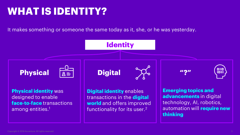## **WHAT IS IDENTITY?**

It makes something or someone the same today as it, she, or he was yesterday.

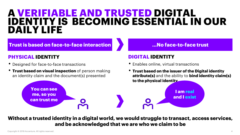## **A VERIFIABLE AND TRUSTED DIGITAL IDENTITY IS BECOMING ESSENTIAL IN OUR DAILY LIFE**

**Trust is based on face-to-face interaction …No face-to-face trust**

### **PHYSICAL IDENTITY**

• Designed for face-to-face transactions

**You can see** 

**me, so you can trust me**

**• Trust based on visual inspection** of person making an identity claim and the document(s) presented

## **DIGITAL IDENTITY**

- Enables online, virtual transactions
- **Trust based on the issuer of the Digital identity attribute(s)** and the ability to **bind identity claim(s) to the physical identity**

**I am real** 

**and I exist**

**Without a trusted identity in a digital world, we would struggle to transact, access services, and be acknowledged that we are who we claim to be**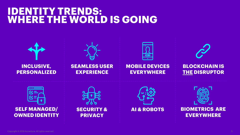## **IDENTITY TRENDS: WHERE THE WORLD IS GOING**

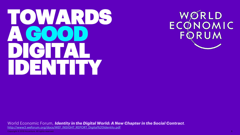# TOWARDS A GOOD DIGITAL IDENTITY

WORLD<br>ECONOMIC<br>FQRUM

World Economic Forum, *Identity in the Digital World: A New Chapter in the Social Contract*. [http://www3.weforum.org/docs/WEF\\_INSIGHT\\_REPORT\\_Digital%20Identity.pdf](http://www3.weforum.org/docs/WEF_INSIGHT_REPORT_Digital Identity.pdf)

Copyright © 2019 Accenture. All rights reserved.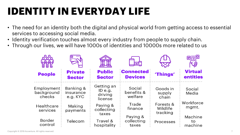## **IDENTITY IN EVERYDAY LIFE**

- The need for an identity both the digital and physical world from getting access to essential services to accessing social media.
- Identity verification touches almost every industry from people to supply chain.
- Through our lives, we will have 1000s of identities and 10000s more related to us

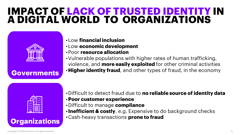## **IMPACT OF LACK OF TRUSTED IDENTITY IN A DIGITAL WORLD TO ORGANIZATIONS**



## •Low **financial inclusion**

- •Low **economic development**
- •Poor **resource allocation**
- •Vulnerable populations with higher rates of human trafficking, violence, and **more easily exploited** for other criminal activities **Governments •Higher identity fraud**, and other types of fraud, in the economy



### •Difficult to detect fraud due to **no reliable source of identity data**

- •**Poor customer experience**
- •Difficult to manage **compliance**
- •**Inefficient & costly**, e.g. Expensive to do background checks
- •Cash-heavy transactions **prone to fraud Organizations**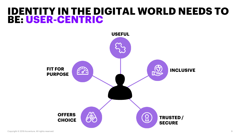## **IDENTITY IN THE DIGITAL WORLD NEEDS TO BE: USER-CENTRIC**

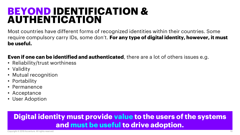## **BEYOND IDENTIFICATION & AUTHENTICATION**

Most countries have different forms of recognized identities within their countries. Some require compulsory carry IDs, some don't. **For any type of digital identity, however, it must be useful.**

## **Even if one can be identified and authenticated**, there are a lot of others issues e.g.

- Reliability/trust worthiness
- Validity
- Mutual recognition
- Portability
- Permanence
- Acceptance
- User Adoption

## **Digital identity must provide value to the users of the systems and must be useful to drive adoption.**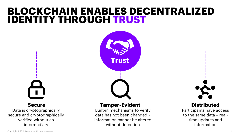## **BLOCKCHAIN ENABLES DECENTRALIZED IDENTITY THROUGH TRUST**



Data is cryptographically secure and cryptographically verified without an intermediary



#### **Secure Tamper-Evident Distributed**

Built-in mechanisms to verify data has not been changed – information cannot be altered without detection

Participants have access to the same data – realtime updates and information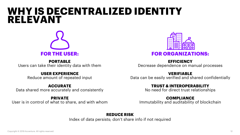## **WHY IS DECENTRALIZED IDENTITY RELEVANT**



**PORTABLE**  Users can take their identity data with them

#### **USER EXPERIENCE**

Reduce amount of repeated input

#### **ACCURATE**

Data shared more accurately and consistently

#### **PRIVATE**

User is in control of what to share, and with whom



**EFFICIENCY**  Decrease dependence on manual processes

#### **VERIFIABLE**

Data can be easily verified and shared confidentially

#### **TRUST & INTEROPERABILITY**

No need for direct trust relationships

#### **COMPLIANCE**

Immutability and auditability of blockchain

#### **REDUCE RISK**

Index of data persists; don't share info if not required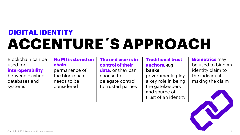## **DIGITAL IDENTITY ACCENTURE´S APPROACH**

Blockchain can be used for **interoperability** between existing databases and systems

#### **No PII is stored on chain** –

permanence of the blockchain needs to be considered

#### **The end user is in control of their**

**data**, or they can choose to delegate control to trusted parties

#### **Traditional trust anchors, e.g. banks**,

governments play a key role in being the gatekeepers and source of trust of an identity

**Biometrics** may be used to bind an identity claim to the individual making the claim

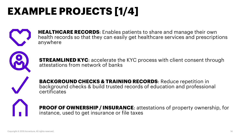# **EXAMPLE PROJECTS [1/4]**



**HEALTHCARE RECORDS**: Enables patients to share and manage their own health records so that they can easily get healthcare services and prescriptions anywhere



**STREAMLINED KYC**: accelerate the KYC process with client consent through attestations from network of banks

**BACKGROUND CHECKS & TRAINING RECORDS**: Reduce repetition in background checks & build trusted records of education and professional certificates



**PROOF OF OWNERSHIP / INSURANCE**: attestations of property ownership, for instance, used to get insurance or file taxes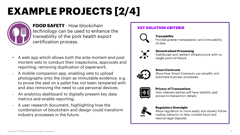## **EXAMPLE PROJECTS [2/4]**



**FOOD SAFETY** - How blockchain technology can be used to enhance the traceability of the pork health export certification process.

- A web app which allows both the ante mortem and post mortem vets to conduct their inspections, approvals and reporting; removing duplication of paperwork.
- A mobile companion app, enabling vets to upload photographs onto the chain as immutable evidence. e.g. to prove the seal on a pallet has not been tampered with and also removing the need to use personal devices.
- An analytics dashboard to digitally present key data metrics and enable reporting.
- A user research document, highlighting how the combination of blockchain and design could transform industry processes in the future.

#### **KEY SOLUTION CRITERIA**



**Traceability** Provide greater transparency and immutability of data



**Decentralised Processing** Distributed and resilient infrastructure with no single point-of-failure



**Smart Contracts** 

Show how Smart Contracts can simplify and automate business processes



**Privacy of Transactions** 

Only relevant parties will have visibility and access to transaction details



#### **Regulatory Oversight**

Allow regulators to more easily and closely follow trading behavior to help combat fraud and resolve legal disputes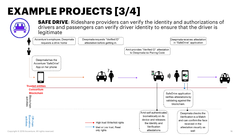## **EXAMPLE PROJECTS [3/4]**

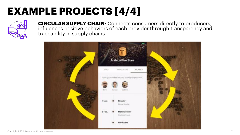## **EXAMPLE PROJECTS [4/4]**



**CIRCULAR SUPPLY CHAIN**: Connects consumers directly to producers, influences positive behaviors of each provider through transparency and traceability in supply chains

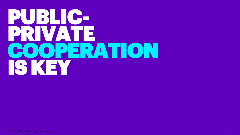# PUBLIC-PRIVATE COOPERATION IS KEY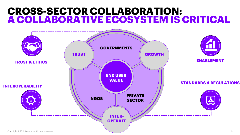## **CROSS-SECTOR COLLABORATION: A COLLABORATIVE ECOSYSTEM IS CRITICAL**

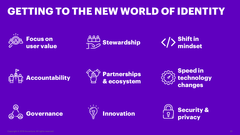## **GETTING TO THE NEW WORLD OF IDENTITY**